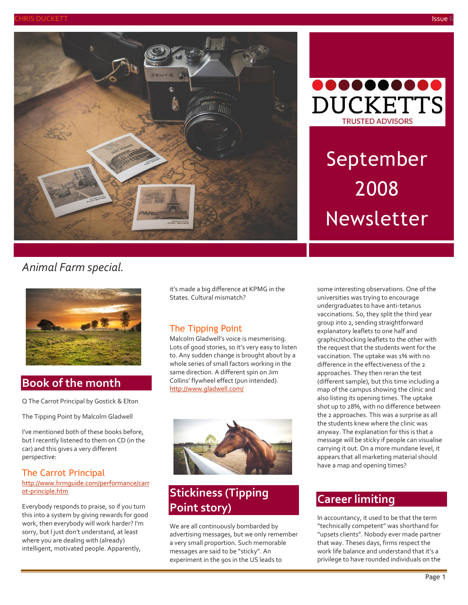



# September 2008 Newsletter

## *Animal Farm special.*



## **Book of the month**

Q The Carrot Principal by Gostick & Elton

The Tipping Point by Malcolm Gladwell

I've mentioned both of these books before, but I recently listened to them on CD (in the car) and this gives a very different perspective:

#### The Carrot Principal

#### [http://www.hrmguide.com/performance/carr](http://www.hrmguide.com/performance/carrot-principle.htm) [ot-principle.htm](http://www.hrmguide.com/performance/carrot-principle.htm)

Everybody responds to praise, so if you turn this into a system by giving rewards for good work, then everybody will work harder? I'm sorry, but I just don't understand, at least where you are dealing with (already) intelligent, motivated people. Apparently,

it's made a big difference at KPMG in the States. Cultural mismatch?

#### The Tipping Point

Malcolm Gladwell's voice is mesmerising. Lots of good stories, so it's very easy to listen to. Any sudden change is brought about by a whole series of small factors working in the same direction. A different spin on Jim Collins' flywheel effect (pun intended). <http://www.gladwell.com/>



## **Stickiness (Tipping Point story)**

We are all continuously bombarded by advertising messages, but we only remember a very small proportion. Such memorable messages are said to be "sticky". An experiment in the 90s in the US leads to

some interesting observations. One of the universities was trying to encourage undergraduates to have anti-tetanus vaccinations. So, they split the third year group into 2, sending straightforward explanatory leaflets to one half and graphic/shocking leaflets to the other with the request that the students went for the vaccination. The uptake was 1% with no difference in the effectiveness of the 2 approaches. They then reran the test (different sample), but this time including a map of the campus showing the clinic and also listing its opening times. The uptake shot up to 28%, with no difference between the 2 approaches. This was a surprise as all the students knew where the clinic was anyway. The explanation for this is that a message will be sticky if people can visualise carrying it out. On a more mundane level, it appears that all marketing material should have a map and opening times?

## **Career limiting**

In accountancy, it used to be that the term "technically competent" was shorthand for "upsets clients". Nobody ever made partner that way. Theses days, firms respect the work life balance and understand that it's a privilege to have rounded individuals on the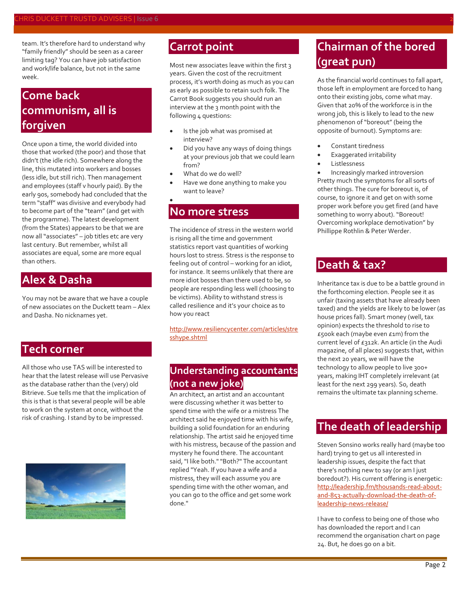team. It's therefore hard to understand why "family friendly" should be seen as a career limiting tag? You can have job satisfaction and work/life balance, but not in the same week.

## **Come back communism, all is forgiven**

Once upon a time, the world divided into those that worked (the poor) and those that didn't (the idle rich). Somewhere along the line, this mutated into workers and bosses (less idle, but still rich). Then management and employees (staff v hourly paid). By the early 90s, somebody had concluded that the term "staff" was divisive and everybody had to become part of the "team" (and get with the programme). The latest development (from the States) appears to be that we are now all "associates" – job titles etc are very last century. But remember, whilst all associates are equal, some are more equal than others.

## **Alex & Dasha**

You may not be aware that we have a couple of new associates on the Duckett team – Alex and Dasha. No nicknames yet.

#### **Tech corner**

All those who use TAS will be interested to hear that the latest release will use Pervasive as the database rather than the (very) old Bitrieve. Sue tells me that the implication of this is that is that several people will be able to work on the system at once, without the risk of crashing. I stand by to be impressed.



## **Carrot point**

Most new associates leave within the first 3 years. Given the cost of the recruitment process, it's worth doing as much as you can as early as possible to retain such folk. The Carrot Book suggests you should run an interview at the 3 month point with the following 4 questions:

- Is the job what was promised at interview?
- Did you have any ways of doing things at your previous job that we could learn from?
- What do we do well?

 $\bullet$ 

 Have we done anything to make you want to leave?

#### **No more stress**

The incidence of stress in the western world is rising all the time and government statistics report vast quantities of working hours lost to stress. Stress is the response to feeling out of control – working for an idiot, for instance. It seems unlikely that there are more idiot bosses than there used to be, so people are responding less well (choosing to be victims). Ability to withstand stress is called resilience and it's your choice as to how you react

[http://www.resiliencycenter.com/articles/stre](http://www.resiliencycenter.com/articles/stresshype.shtml) [sshype.shtml](http://www.resiliencycenter.com/articles/stresshype.shtml)

## **Understanding accountants (not a new joke)**

An architect, an artist and an accountant were discussing whether it was better to spend time with the wife or a mistress The architect said he enjoyed time with his wife, building a solid foundation for an enduring relationship. The artist said he enjoyed time with his mistress, because of the passion and mystery he found there. The accountant said, "I like both." "Both?" The accountant replied "Yeah. If you have a wife and a mistress, they will each assume you are spending time with the other woman, and you can go to the office and get some work done."

# **Chairman of the bored (great pun)**

As the financial world continues to fall apart, those left in employment are forced to hang onto their existing jobs, come what may. Given that 20% of the workforce is in the wrong job, this is likely to lead to the new phenomenon of "boreout" (being the opposite of burnout). Symptoms are:

- Constant tiredness
- Exaggerated irritability
- Listlessness

 Increasingly marked introversion Pretty much the symptoms for all sorts of other things. The cure for boreout is, of course, to ignore it and get on with some proper work before you get fired (and have something to worry about). "Boreout! Overcoming workplace demotivation" by Phillippe Rothlin & Peter Werder.

## **Death & tax?**

Inheritance tax is due to be a battle ground in the forthcoming election. People see it as unfair (taxing assets that have already been taxed) and the yields are likely to be lower (as house prices fall). Smart money (well, tax opinion) expects the threshold to rise to £500k each (maybe even £1m) from the current level of £312k. An article (in the Audi magazine, of all places) suggests that, within the next 20 years, we will have the technology to allow people to live 300+ years, making IHT completely irrelevant (at least for the next 299 years). So, death remains the ultimate tax planning scheme.

## **The death of leadership**

Steven Sonsino works really hard (maybe too hard) trying to get us all interested in leadership issues, despite the fact that there's nothing new to say (or am I just boredout?). His current offering is energetic: [http://leadership.fm/thousands-read-about](http://leadership.fm/thousands-read-about-and-853-actually-download-the-death-of-leadership-news-release/)[and-853-actually-download-the-death-of](http://leadership.fm/thousands-read-about-and-853-actually-download-the-death-of-leadership-news-release/)[leadership-news-release/](http://leadership.fm/thousands-read-about-and-853-actually-download-the-death-of-leadership-news-release/)

I have to confess to being one of those who has downloaded the report and I can recommend the organisation chart on page 24. But, he does go on a bit.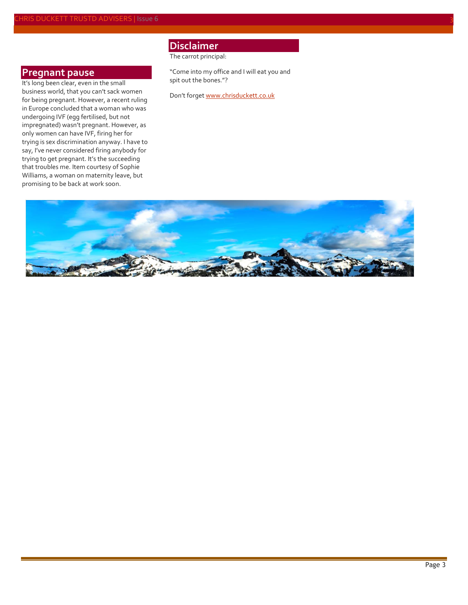#### **Pregnant pause**

It's long been clear, even in the small business world, that you can't sack women for being pregnant. However, a recent ruling in Europe concluded that a woman who was undergoing IVF (egg fertilised, but not impregnated) wasn't pregnant. However, as only women can have IVF, firing her for trying is sex discrimination anyway. I have to say, I've never considered firing anybody for trying to get pregnant. It's the succeeding that troubles me. Item courtesy of Sophie Williams, a woman on maternity leave, but promising to be back at work soon.

#### **Disclaimer**

The carrot principal:

"Come into my office and I will eat you and spit out the bones."?

Don't forget [www.chrisduckett.co.uk](http://www.chrisduckett.co.uk/)